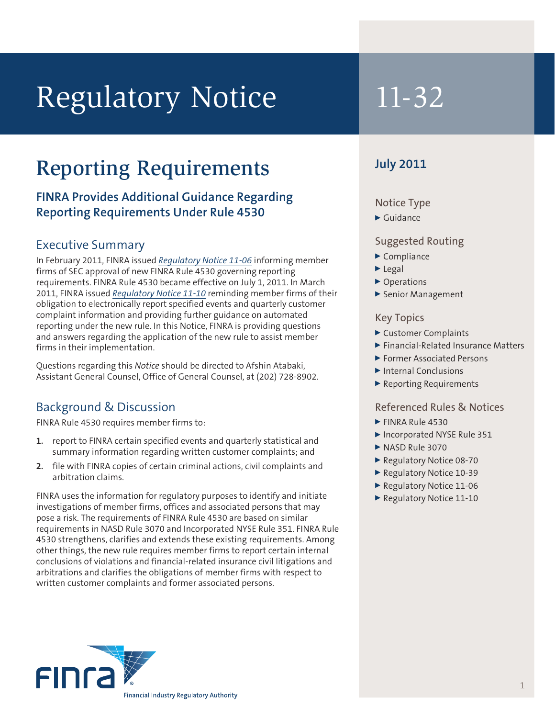# Regulatory Notice 11-32

## Reporting Requirements

## **FINRA Provides Additional Guidance Regarding Reporting Requirements Under Rule 4530** Notice Type

#### Executive Summary

In February 2011, FINRA issued *[Regulatory Notice 11-06](http://www.finra.org/Industry/Regulation/Notices/2011/P122889)* informing member firms of SEC approval of new FINRA Rule 4530 governing reporting requirements. FINRA Rule 4530 became effective on July 1, 2011. In March 2011, FINRA issued *[Regulatory Notice 11-10](http://www.finra.org/Industry/Regulation/Notices/2011/P123260)* reminding member firms of their obligation to electronically report specified events and quarterly customer complaint information and providing further guidance on automated reporting under the new rule. In this Notice, FINRA is providing questions and answers regarding the application of the new rule to assist member firms in their implementation.

Questions regarding this *Notice* should be directed to Afshin Atabaki, Assistant General Counsel, Office of General Counsel, at (202) 728-8902.

### Background & Discussion

FINRA Rule 4530 requires member firms to:

- **1.** report to FINRA certain specified events and quarterly statistical and summary information regarding written customer complaints; and
- **2.** file with FINRA copies of certain criminal actions, civil complaints and arbitration claims.

FINRA uses the information for regulatory purposes to identify and initiate investigations of member firms, offices and associated persons that may pose a risk. The requirements of FINRA Rule 4530 are based on similar requirements in NASD Rule 3070 and Incorporated NYSE Rule 351. FINRA Rule 4530 strengthens, clarifies and extends these existing requirements. Among other things, the new rule requires member firms to report certain internal conclusions of violations and financial-related insurance civil litigations and arbitrations and clarifies the obligations of member firms with respect to written customer complaints and former associated persons.

### **July 2011**

 $\blacktriangleright$  Guidance

#### Suggested Routing

- $\blacktriangleright$  Compliance
- $\blacktriangleright$  Legal
- ▶ Operations
- Senior Management

#### Key Topics

- <sup>0</sup> Customer Complaints
- ▶ Financial-Related Insurance Matters
- <sup>0</sup> Former Associated Persons
- $\blacktriangleright$  Internal Conclusions
- ▶ Reporting Requirements

#### Referenced Rules & Notices

- $\blacktriangleright$  FINRA Rule 4530
- Incorporated NYSE Rule 351
- NASD Rule 3070
- ▶ Regulatory Notice 08-70
- Regulatory Notice 10-39
- ▶ Regulatory Notice 11-06
- Regulatory Notice 11-10

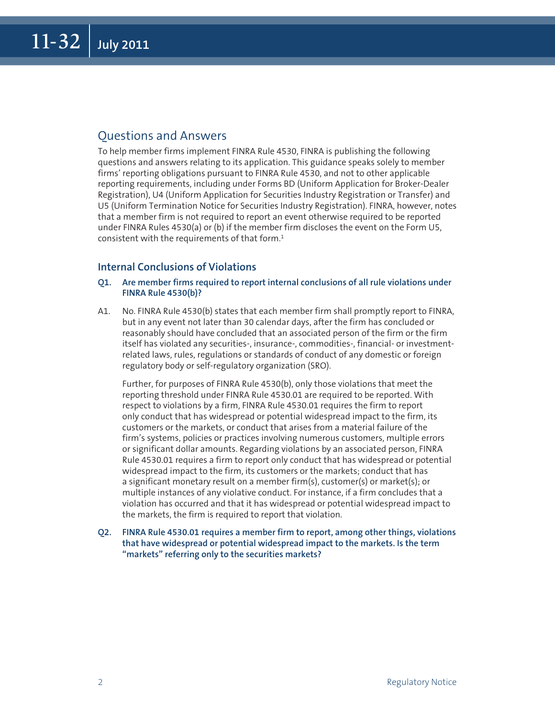#### Questions and Answers

To help member firms implement FINRA Rule 4530, FINRA is publishing the following questions and answers relating to its application. This guidance speaks solely to member firms' reporting obligations pursuant to FINRA Rule 4530, and not to other applicable reporting requirements, including under Forms BD (Uniform Application for Broker-Dealer Registration), U4 (Uniform Application for Securities Industry Registration or Transfer) and U5 (Uniform Termination Notice for Securities Industry Registration). FINRA, however, notes that a member firm is not required to report an event otherwise required to be reported under FINRA Rules 4530(a) or (b) if the member firm discloses the event on the Form U5, consistent with the requirements of that form. $1$ 

#### **Internal Conclusions of Violations**

#### **Q1. Are member firms required to report internal conclusions of all rule violations under FINRA Rule 4530(b)?**

A1. No. FINRA Rule 4530(b) states that each member firm shall promptly report to FINRA, but in any event not later than 30 calendar days, after the firm has concluded or reasonably should have concluded that an associated person of the firm or the firm itself has violated any securities-, insurance-, commodities-, financial- or investmentrelated laws, rules, regulations or standards of conduct of any domestic or foreign regulatory body or self-regulatory organization (SRO).

Further, for purposes of FINRA Rule 4530(b), only those violations that meet the reporting threshold under FINRA Rule 4530.01 are required to be reported. With respect to violations by a firm, FINRA Rule 4530.01 requires the firm to report only conduct that has widespread or potential widespread impact to the firm, its customers or the markets, or conduct that arises from a material failure of the firm's systems, policies or practices involving numerous customers, multiple errors or significant dollar amounts. Regarding violations by an associated person, FINRA Rule 4530.01 requires a firm to report only conduct that has widespread or potential widespread impact to the firm, its customers or the markets; conduct that has a significant monetary result on a member firm(s), customer(s) or market(s); or multiple instances of any violative conduct. For instance, if a firm concludes that a violation has occurred and that it has widespread or potential widespread impact to the markets, the firm is required to report that violation.

**Q2. FINRA Rule 4530.01 requires a member firm to report, among other things, violations that have widespread or potential widespread impact to the markets. Is the term "markets" referring only to the securities markets?**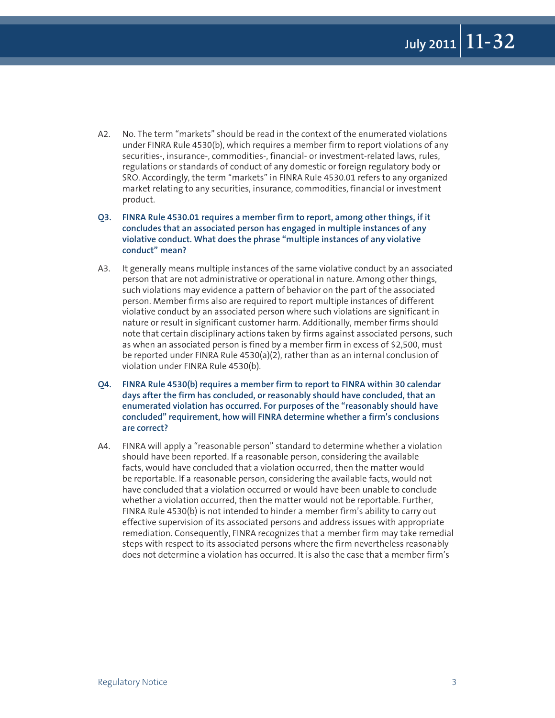A2. No. The term "markets" should be read in the context of the enumerated violations under FINRA Rule 4530(b), which requires a member firm to report violations of any securities-, insurance-, commodities-, financial- or investment-related laws, rules, regulations or standards of conduct of any domestic or foreign regulatory body or SRO. Accordingly, the term "markets" in FINRA Rule 4530.01 refers to any organized market relating to any securities, insurance, commodities, financial or investment product.

**Q3. FINRA Rule 4530.01 requires a member firm to report, among other things, if it concludes that an associated person has engaged in multiple instances of any violative conduct. What does the phrase "multiple instances of any violative conduct" mean?** 

- A3. It generally means multiple instances of the same violative conduct by an associated person that are not administrative or operational in nature. Among other things, such violations may evidence a pattern of behavior on the part of the associated person. Member firms also are required to report multiple instances of different violative conduct by an associated person where such violations are significant in nature or result in significant customer harm. Additionally, member firms should note that certain disciplinary actions taken by firms against associated persons, such as when an associated person is fined by a member firm in excess of \$2,500, must be reported under FINRA Rule 4530(a)(2), rather than as an internal conclusion of violation under FINRA Rule 4530(b).
- **Q4. FINRA Rule 4530(b) requires a member firm to report to FINRA within 30 calendar days after the firm has concluded, or reasonably should have concluded, that an enumerated violation has occurred. For purposes of the "reasonably should have concluded" requirement, how will FINRA determine whether a firm's conclusions are correct?**
- A4. FINRA will apply a "reasonable person" standard to determine whether a violation should have been reported. If a reasonable person, considering the available facts, would have concluded that a violation occurred, then the matter would be reportable. If a reasonable person, considering the available facts, would not have concluded that a violation occurred or would have been unable to conclude whether a violation occurred, then the matter would not be reportable. Further, FINRA Rule 4530(b) is not intended to hinder a member firm's ability to carry out effective supervision of its associated persons and address issues with appropriate remediation. Consequently, FINRA recognizes that a member firm may take remedial steps with respect to its associated persons where the firm nevertheless reasonably does not determine a violation has occurred. It is also the case that a member firm's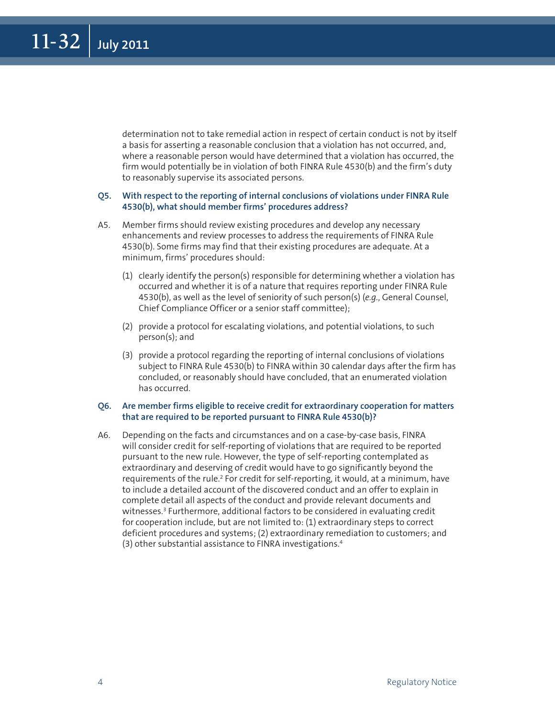determination not to take remedial action in respect of certain conduct is not by itself a basis for asserting a reasonable conclusion that a violation has not occurred, and, where a reasonable person would have determined that a violation has occurred, the firm would potentially be in violation of both FINRA Rule 4530(b) and the firm's duty to reasonably supervise its associated persons.

#### **Q5. With respect to the reporting of internal conclusions of violations under FINRA Rule 4530(b), what should member firms' procedures address?**

- A5. Member firms should review existing procedures and develop any necessary enhancements and review processes to address the requirements of FINRA Rule 4530(b). Some firms may find that their existing procedures are adequate. At a minimum, firms' procedures should:
	- (1) clearly identify the person(s) responsible for determining whether a violation has occurred and whether it is of a nature that requires reporting under FINRA Rule 4530(b), as well as the level of seniority of such person(s) (*e.g.*, General Counsel, Chief Compliance Officer or a senior staff committee);
	- (2) provide a protocol for escalating violations, and potential violations, to such person(s); and
	- (3) provide a protocol regarding the reporting of internal conclusions of violations subject to FINRA Rule 4530(b) to FINRA within 30 calendar days after the firm has concluded, or reasonably should have concluded, that an enumerated violation has occurred.

#### **Q6. Are member firms eligible to receive credit for extraordinary cooperation for matters that are required to be reported pursuant to FINRA Rule 4530(b)?**

A6. Depending on the facts and circumstances and on a case-by-case basis, FINRA will consider credit for self-reporting of violations that are required to be reported pursuant to the new rule. However, the type of self-reporting contemplated as extraordinary and deserving of credit would have to go significantly beyond the requirements of the rule.<sup>2</sup> For credit for self-reporting, it would, at a minimum, have to include a detailed account of the discovered conduct and an offer to explain in complete detail all aspects of the conduct and provide relevant documents and witnesses.<sup>3</sup> Furthermore, additional factors to be considered in evaluating credit for cooperation include, but are not limited to: (1) extraordinary steps to correct deficient procedures and systems; (2) extraordinary remediation to customers; and (3) other substantial assistance to FINRA investigations.4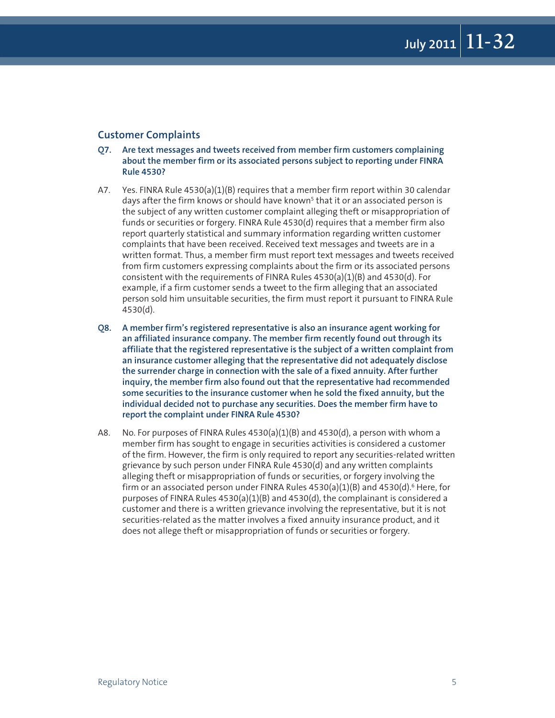#### **Customer Complaints**

- **Q7. Are text messages and tweets received from member firm customers complaining about the member firm or its associated persons subject to reporting under FINRA Rule 4530?**
- A7. Yes. FINRA Rule 4530(a)(1)(B) requires that a member firm report within 30 calendar days after the firm knows or should have known<sup>5</sup> that it or an associated person is the subject of any written customer complaint alleging theft or misappropriation of funds or securities or forgery. FINRA Rule 4530(d) requires that a member firm also report quarterly statistical and summary information regarding written customer complaints that have been received. Received text messages and tweets are in a written format. Thus, a member firm must report text messages and tweets received from firm customers expressing complaints about the firm or its associated persons consistent with the requirements of FINRA Rules 4530(a)(1)(B) and 4530(d). For example, if a firm customer sends a tweet to the firm alleging that an associated person sold him unsuitable securities, the firm must report it pursuant to FINRA Rule 4530(d).
- **Q8. A member firm's registered representative is also an insurance agent working for an affiliated insurance company. The member firm recently found out through its affiliate that the registered representative is the subject of a written complaint from an insurance customer alleging that the representative did not adequately disclose the surrender charge in connection with the sale of a fixed annuity. After further inquiry, the member firm also found out that the representative had recommended some securities to the insurance customer when he sold the fixed annuity, but the individual decided not to purchase any securities. Does the member firm have to report the complaint under FINRA Rule 4530?**
- A8. No. For purposes of FINRA Rules  $4530(a)(1)(B)$  and  $4530(d)$ , a person with whom a member firm has sought to engage in securities activities is considered a customer of the firm. However, the firm is only required to report any securities-related written grievance by such person under FINRA Rule 4530(d) and any written complaints alleging theft or misappropriation of funds or securities, or forgery involving the firm or an associated person under FINRA Rules  $4530(a)(1)(B)$  and  $4530(d)$ .<sup>6</sup> Here, for purposes of FINRA Rules  $4530(a)(1)(B)$  and  $4530(d)$ , the complainant is considered a customer and there is a written grievance involving the representative, but it is not securities-related as the matter involves a fixed annuity insurance product, and it does not allege theft or misappropriation of funds or securities or forgery.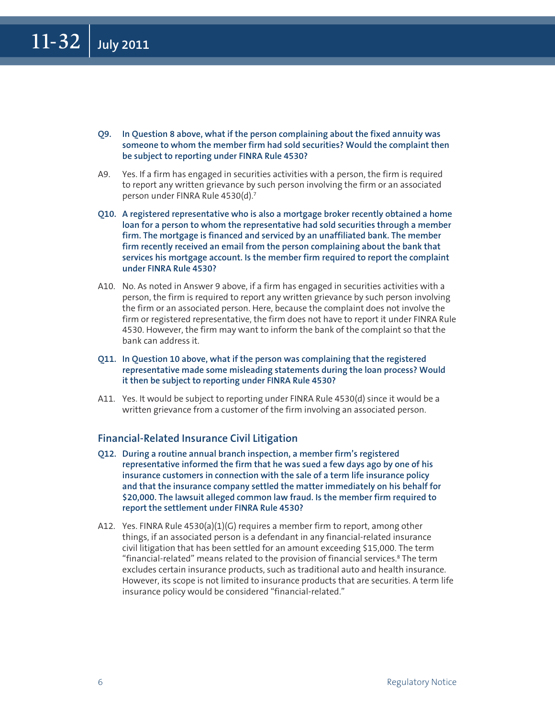- **Q9. In Question 8 above, what if the person complaining about the fixed annuity was someone to whom the member firm had sold securities? Would the complaint then be subject to reporting under FINRA Rule 4530?**
- A9. Yes. If a firm has engaged in securities activities with a person, the firm is required to report any written grievance by such person involving the firm or an associated person under FINRA Rule 4530(d).7
- **Q10. A registered representative who is also a mortgage broker recently obtained a home loan for a person to whom the representative had sold securities through a member firm. The mortgage is financed and serviced by an unaffiliated bank. The member firm recently received an email from the person complaining about the bank that services his mortgage account. Is the member firm required to report the complaint under FINRA Rule 4530?**
- A10. No. As noted in Answer 9 above, if a firm has engaged in securities activities with a person, the firm is required to report any written grievance by such person involving the firm or an associated person. Here, because the complaint does not involve the firm or registered representative, the firm does not have to report it under FINRA Rule 4530. However, the firm may want to inform the bank of the complaint so that the bank can address it.
- **Q11. In Question 10 above, what if the person was complaining that the registered representative made some misleading statements during the loan process? Would it then be subject to reporting under FINRA Rule 4530?**
- A11. Yes. It would be subject to reporting under FINRA Rule 4530(d) since it would be a written grievance from a customer of the firm involving an associated person.

#### **Financial-Related Insurance Civil Litigation**

- **Q12. During a routine annual branch inspection, a member firm's registered representative informed the firm that he was sued a few days ago by one of his insurance customers in connection with the sale of a term life insurance policy and that the insurance company settled the matter immediately on his behalf for \$20,000. The lawsuit alleged common law fraud. Is the member firm required to report the settlement under FINRA Rule 4530?**
- A12. Yes. FINRA Rule  $4530(a)(1)(G)$  requires a member firm to report, among other things, if an associated person is a defendant in any financial-related insurance civil litigation that has been settled for an amount exceeding \$15,000. The term "financial-related" means related to the provision of financial services.<sup>8</sup> The term excludes certain insurance products, such as traditional auto and health insurance. However, its scope is not limited to insurance products that are securities. A term life insurance policy would be considered "financial-related."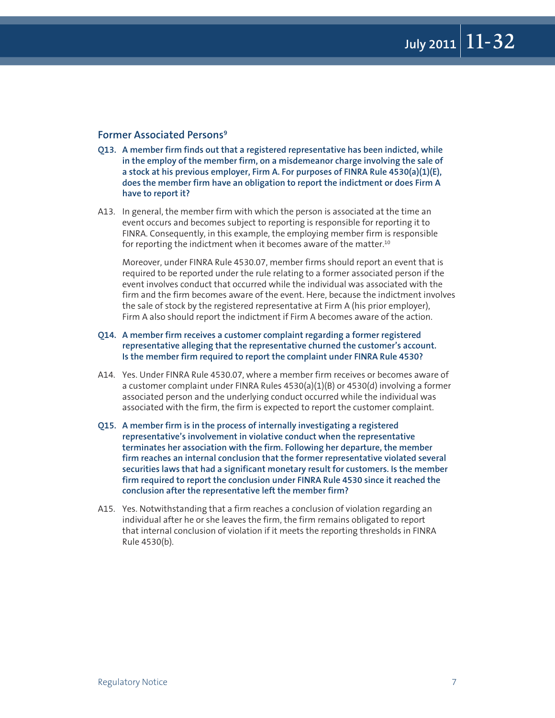#### **Former Associated Persons9**

- **Q13. A member firm finds out that a registered representative has been indicted, while in the employ of the member firm, on a misdemeanor charge involving the sale of a stock at his previous employer, Firm A. For purposes of FINRA Rule 4530(a)(1)(E), does the member firm have an obligation to report the indictment or does Firm A have to report it?**
- A13. In general, the member firm with which the person is associated at the time an event occurs and becomes subject to reporting is responsible for reporting it to FINRA. Consequently, in this example, the employing member firm is responsible for reporting the indictment when it becomes aware of the matter.<sup>10</sup>

Moreover, under FINRA Rule 4530.07, member firms should report an event that is required to be reported under the rule relating to a former associated person if the event involves conduct that occurred while the individual was associated with the firm and the firm becomes aware of the event. Here, because the indictment involves the sale of stock by the registered representative at Firm A (his prior employer), Firm A also should report the indictment if Firm A becomes aware of the action.

#### **Q14. A member firm receives a customer complaint regarding a former registered representative alleging that the representative churned the customer's account. Is the member firm required to report the complaint under FINRA Rule 4530?**

- A14. Yes. Under FINRA Rule 4530.07, where a member firm receives or becomes aware of a customer complaint under FINRA Rules 4530(a)(1)(B) or 4530(d) involving a former associated person and the underlying conduct occurred while the individual was associated with the firm, the firm is expected to report the customer complaint.
- **Q15. A member firm is in the process of internally investigating a registered representative's involvement in violative conduct when the representative terminates her association with the firm. Following her departure, the member firm reaches an internal conclusion that the former representative violated several securities laws that had a significant monetary result for customers. Is the member firm required to report the conclusion under FINRA Rule 4530 since it reached the conclusion after the representative left the member firm?**
- A15. Yes. Notwithstanding that a firm reaches a conclusion of violation regarding an individual after he or she leaves the firm, the firm remains obligated to report that internal conclusion of violation if it meets the reporting thresholds in FINRA Rule 4530(b).